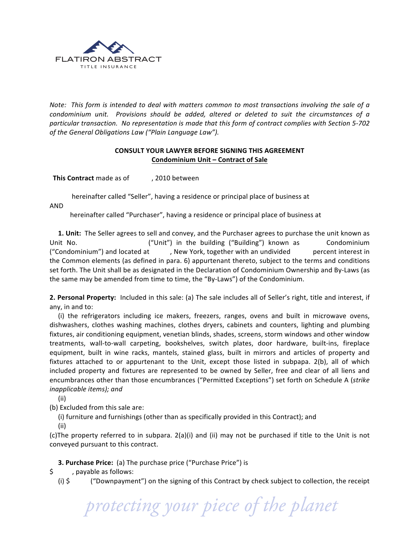

*Note:* This form is intended to deal with matters common to most transactions involving the sale of a *condominium unit.* Provisions should be added, altered or deleted to suit the circumstances of a particular transaction. No representation is made that this form of contract complies with Section 5-702 of the General Obligations Law ("Plain Language Law").

## **CONSULT YOUR LAWYER BEFORE SIGNING THIS AGREEMENT Condominium Unit – Contract of Sale**

**This Contract** made as of , 2010 between

hereinafter called "Seller", having a residence or principal place of business at

AND

hereinafter called "Purchaser", having a residence or principal place of business at

**1. Unit:** The Seller agrees to sell and convey, and the Purchaser agrees to purchase the unit known as Unit No. ("Unit") in the building ("Building") known as Condominium ("Condominium") and located at (a) , New York, together with an undivided bercent interest in the Common elements (as defined in para. 6) appurtenant thereto, subject to the terms and conditions set forth. The Unit shall be as designated in the Declaration of Condominium Ownership and By-Laws (as the same may be amended from time to time, the "By-Laws") of the Condominium.

**2. Personal Property:** Included in this sale: (a) The sale includes all of Seller's right, title and interest, if any, in and to:

(i) the refrigerators including ice makers, freezers, ranges, ovens and built in microwave ovens, dishwashers, clothes washing machines, clothes dryers, cabinets and counters, lighting and plumbing fixtures, air conditioning equipment, venetian blinds, shades, screens, storm windows and other window treatments, wall-to-wall carpeting, bookshelves, switch plates, door hardware, built-ins, fireplace equipment, built in wine racks, mantels, stained glass, built in mirrors and articles of property and fixtures attached to or appurtenant to the Unit, except those listed in subpapa. 2(b), all of which included property and fixtures are represented to be owned by Seller, free and clear of all liens and encumbrances other than those encumbrances ("Permitted Exceptions") set forth on Schedule A (*strike inapplicable items); and* 

 (ii) 

(b) Excluded from this sale are:

(i) furniture and furnishings (other than as specifically provided in this Contract); and

 (ii) 

(c)The property referred to in subpara.  $2(a)(i)$  and (ii) may not be purchased if title to the Unit is not conveyed pursuant to this contract.

**3. Purchase Price:** (a) The purchase price ("Purchase Price") is

- \$ , payable as follows:
	- (i)  $\sin \theta$  ("Downpayment") on the signing of this Contract by check subject to collection, the receipt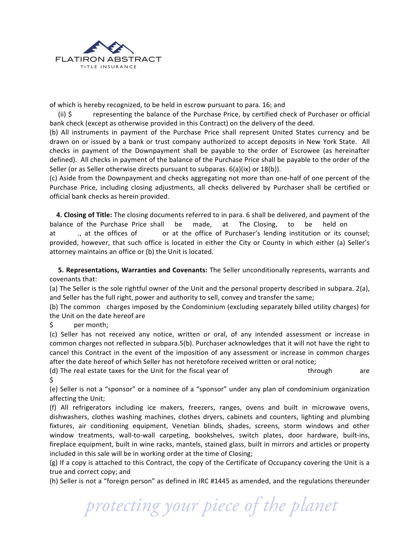

of which is hereby recognized, to be held in escrow pursuant to para. 16; and

(ii)  $\oint$  representing the balance of the Purchase Price, by certified check of Purchaser or official bank check (except as otherwise provided in this Contract) on the delivery of the deed.

(b) All instruments in payment of the Purchase Price shall represent United States currency and be drawn on or issued by a bank or trust company authorized to accept deposits in New York State. All checks in payment of the Downpayment shall be payable to the order of Escrowee (as hereinafter defined). All checks in payment of the balance of the Purchase Price shall be payable to the order of the Seller (or as Seller otherwise directs pursuant to subparas.  $6(a)(ix)$  or  $18(b)$ ).

(c) Aside from the Downpayment and checks aggregating not more than one-half of one percent of the Purchase Price, including closing adjustments, all checks delivered by Purchaser shall be certified or official bank checks as herein provided.

**4. Closing of Title:** The closing documents referred to in para. 6 shall be delivered, and payment of the balance of the Purchase Price shall be made, at The Closing, to be held on at ., at the offices of or at the office of Purchaser's lending institution or its counsel; provided, however, that such office is located in either the City or County in which either (a) Seller's attorney maintains an office or (b) the Unit is located.

**5. Representations, Warranties and Covenants:** The Seller unconditionally represents, warrants and covenants that:

(a) The Seller is the sole rightful owner of the Unit and the personal property described in subpara. 2(a), and Seller has the full right, power and authority to sell, convey and transfer the same;

(b) The common charges imposed by the Condominium (excluding separately billed utility charges) for the Unit on the date hereof are

\$ per month;

(c) Seller has not received any notice, written or oral, of any intended assessment or increase in common charges not reflected in subpara.5(b). Purchaser acknowledges that it will not have the right to cancel this Contract in the event of the imposition of any assessment or increase in common charges after the date hereof of which Seller has not heretofore received written or oral notice;

(d) The real estate taxes for the Unit for the fiscal year of the controlled by through are \$

(e) Seller is not a "sponsor" or a nominee of a "sponsor" under any plan of condominium organization affecting the Unit;

(f) All refrigerators including ice makers, freezers, ranges, ovens and built in microwave ovens, dishwashers, clothes washing machines, clothes dryers, cabinets and counters, lighting and plumbing fixtures, air conditioning equipment, Venetian blinds, shades, screens, storm windows and other window treatments, wall-to-wall carpeting, bookshelves, switch plates, door hardware, built-ins, fireplace equipment, built in wine racks, mantels, stained glass, built in mirrors and articles or property included in this sale will be in working order at the time of Closing;

 $(g)$  If a copy is attached to this Contract, the copy of the Certificate of Occupancy covering the Unit is a true and correct copy; and

(h) Seller is not a "foreign person" as defined in IRC #1445 as amended, and the regulations thereunder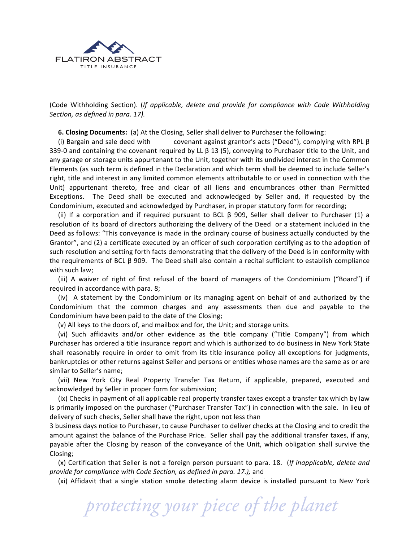

(Code Withholding Section). (*If applicable, delete and provide for compliance with Code Withholding Section, as defined in para.* 17).

**6. Closing Documents:** (a) At the Closing, Seller shall deliver to Purchaser the following:

(i) Bargain and sale deed with covenant against grantor's acts ("Deed"), complying with RPL  $\beta$ 339-0 and containing the covenant required by LL  $\beta$  13 (5), conveying to Purchaser title to the Unit, and any garage or storage units appurtenant to the Unit, together with its undivided interest in the Common Elements (as such term is defined in the Declaration and which term shall be deemed to include Seller's right, title and interest in any limited common elements attributable to or used in connection with the Unit) appurtenant thereto, free and clear of all liens and encumbrances other than Permitted Exceptions. The Deed shall be executed and acknowledged by Seller and, if requested by the Condominium, executed and acknowledged by Purchaser, in proper statutory form for recording;

(ii) If a corporation and if required pursuant to BCL  $\beta$  909, Seller shall deliver to Purchaser (1) a resolution of its board of directors authorizing the delivery of the Deed or a statement included in the Deed as follows: "This conveyance is made in the ordinary course of business actually conducted by the Grantor", and (2) a certificate executed by an officer of such corporation certifying as to the adoption of such resolution and setting forth facts demonstrating that the delivery of the Deed is in conformity with the requirements of BCL  $\beta$  909. The Deed shall also contain a recital sufficient to establish compliance with such law;

(iii) A waiver of right of first refusal of the board of managers of the Condominium ("Board") if required in accordance with para. 8;

(iv) A statement by the Condominium or its managing agent on behalf of and authorized by the Condominium that the common charges and any assessments then due and payable to the Condominium have been paid to the date of the Closing;

(v) All keys to the doors of, and mailbox and for, the Unit; and storage units.

(vi) Such affidavits and/or other evidence as the title company ("Title Company") from which Purchaser has ordered a title insurance report and which is authorized to do business in New York State shall reasonably require in order to omit from its title insurance policy all exceptions for judgments, bankruptcies or other returns against Seller and persons or entities whose names are the same as or are similar to Seller's name;

(vii) New York City Real Property Transfer Tax Return, if applicable, prepared, executed and acknowledged by Seller in proper form for submission;

(ix) Checks in payment of all applicable real property transfer taxes except a transfer tax which by law is primarily imposed on the purchaser ("Purchaser Transfer Tax") in connection with the sale. In lieu of delivery of such checks, Seller shall have the right, upon not less than

3 business days notice to Purchaser, to cause Purchaser to deliver checks at the Closing and to credit the amount against the balance of the Purchase Price. Seller shall pay the additional transfer taxes, if any, payable after the Closing by reason of the conveyance of the Unit, which obligation shall survive the Closing;

(x) Certification that Seller is not a foreign person pursuant to para. 18. (*If inapplicable, delete and provide for compliance with Code Section, as defined in para.* 17.); and

(xi) Affidavit that a single station smoke detecting alarm device is installed pursuant to New York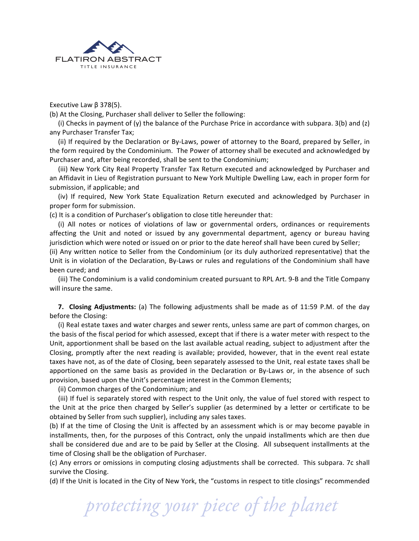

Executive Law  $β$  378(5).

(b) At the Closing, Purchaser shall deliver to Seller the following:

(i) Checks in payment of  $(y)$  the balance of the Purchase Price in accordance with subpara. 3(b) and  $(z)$ any Purchaser Transfer Tax;

(ii) If required by the Declaration or By-Laws, power of attorney to the Board, prepared by Seller, in the form required by the Condominium. The Power of attorney shall be executed and acknowledged by Purchaser and, after being recorded, shall be sent to the Condominium;

(iii) New York City Real Property Transfer Tax Return executed and acknowledged by Purchaser and an Affidavit in Lieu of Registration pursuant to New York Multiple Dwelling Law, each in proper form for submission, if applicable; and

(iv) If required, New York State Equalization Return executed and acknowledged by Purchaser in proper form for submission.

(c) It is a condition of Purchaser's obligation to close title hereunder that:

(i) All notes or notices of violations of law or governmental orders, ordinances or requirements affecting the Unit and noted or issued by any governmental department, agency or bureau having jurisdiction which were noted or issued on or prior to the date hereof shall have been cured by Seller;

(ii) Any written notice to Seller from the Condominium (or its duly authorized representative) that the Unit is in violation of the Declaration, By-Laws or rules and regulations of the Condominium shall have been cured; and

(iii) The Condominium is a valid condominium created pursuant to RPL Art. 9-B and the Title Company will insure the same.

**7. Closing Adjustments:** (a) The following adjustments shall be made as of 11:59 P.M. of the day before the Closing:

(i) Real estate taxes and water charges and sewer rents, unless same are part of common charges, on the basis of the fiscal period for which assessed, except that if there is a water meter with respect to the Unit, apportionment shall be based on the last available actual reading, subject to adjustment after the Closing, promptly after the next reading is available; provided, however, that in the event real estate taxes have not, as of the date of Closing, been separately assessed to the Unit, real estate taxes shall be apportioned on the same basis as provided in the Declaration or By-Laws or, in the absence of such provision, based upon the Unit's percentage interest in the Common Elements;

(ii) Common charges of the Condominium; and

(iii) If fuel is separately stored with respect to the Unit only, the value of fuel stored with respect to the Unit at the price then charged by Seller's supplier (as determined by a letter or certificate to be obtained by Seller from such supplier), including any sales taxes.

(b) If at the time of Closing the Unit is affected by an assessment which is or may become payable in installments, then, for the purposes of this Contract, only the unpaid installments which are then due shall be considered due and are to be paid by Seller at the Closing. All subsequent installments at the time of Closing shall be the obligation of Purchaser.

(c) Any errors or omissions in computing closing adjustments shall be corrected. This subpara. 7c shall survive the Closing.

(d) If the Unit is located in the City of New York, the "customs in respect to title closings" recommended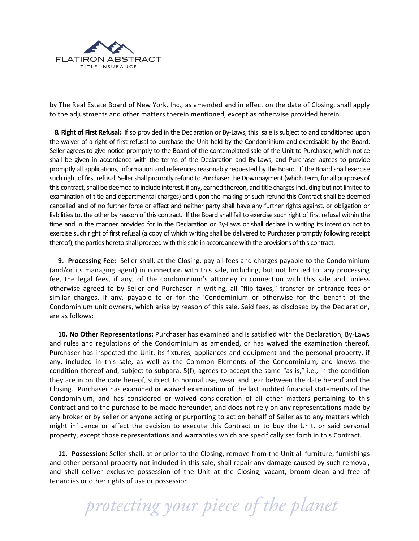

by The Real Estate Board of New York, Inc., as amended and in effect on the date of Closing, shall apply to the adjustments and other matters therein mentioned, except as otherwise provided herein.

**8. Right of First Refusal:** If so provided in the Declaration or By-Laws, this sale is subject to and conditioned upon the waiver of a right of first refusal to purchase the Unit held by the Condominium and exercisable by the Board. Seller agrees to give notice promptly to the Board of the contemplated sale of the Unit to Purchaser, which notice shall be given in accordance with the terms of the Declaration and By-Laws, and Purchaser agrees to provide promptly all applications, information and references reasonably requested by the Board. If the Board shall exercise such right of first refusal, Seller shall promptly refund to Purchaser the Downpayment (which term, for all purposes of this contract, shall be deemed to include interest, if any, earned thereon, and title charges including but not limited to examination of title and departmental charges) and upon the making of such refund this Contract shall be deemed cancelled and of no further force or effect and neither party shall have any further rights against, or obligation or liabilities to, the other by reason of this contract. If the Board shall fail to exercise such right of first refusal within the time and in the manner provided for in the Declaration or By-Laws or shall declare in writing its intention not to exercise such right of first refusal (a copy of which writing shall be delivered to Purchaser promptly following receipt thereof), the parties hereto shall proceed with this sale in accordance with the provisions of this contract.

**9. Processing Fee:** Seller shall, at the Closing, pay all fees and charges payable to the Condominium (and/or its managing agent) in connection with this sale, including, but not limited to, any processing fee, the legal fees, if any, of the condominium's attorney in connection with this sale and, unless otherwise agreed to by Seller and Purchaser in writing, all "flip taxes," transfer or entrance fees or similar charges, if any, payable to or for the 'Condominium or otherwise for the benefit of the Condominium unit owners, which arise by reason of this sale. Said fees, as disclosed by the Declaration, are as follows:

10. No Other Representations: Purchaser has examined and is satisfied with the Declaration, By-Laws and rules and regulations of the Condominium as amended, or has waived the examination thereof. Purchaser has inspected the Unit, its fixtures, appliances and equipment and the personal property, if any, included in this sale, as well as the Common Elements of the Condominium, and knows the condition thereof and, subject to subpara.  $5(f)$ , agrees to accept the same "as is," i.e., in the condition they are in on the date hereof, subject to normal use, wear and tear between the date hereof and the Closing. Purchaser has examined or waived examination of the last audited financial statements of the Condominium, and has considered or waived consideration of all other matters pertaining to this Contract and to the purchase to be made hereunder, and does not rely on any representations made by any broker or by seller or anyone acting or purporting to act on behalf of Seller as to any matters which might influence or affect the decision to execute this Contract or to buy the Unit, or said personal property, except those representations and warranties which are specifically set forth in this Contract.

**11. Possession:** Seller shall, at or prior to the Closing, remove from the Unit all furniture, furnishings and other personal property not included in this sale, shall repair any damage caused by such removal, and shall deliver exclusive possession of the Unit at the Closing, vacant, broom-clean and free of tenancies or other rights of use or possession.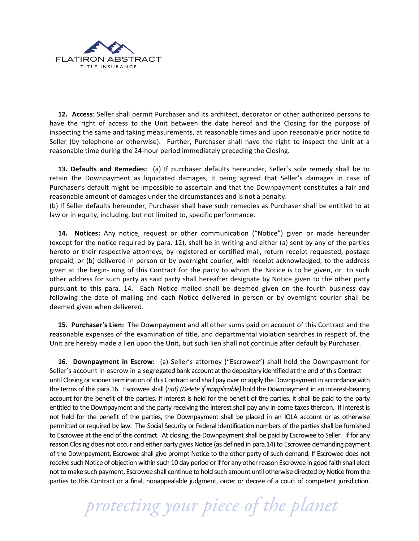

**12.** Access: Seller shall permit Purchaser and its architect, decorator or other authorized persons to have the right of access to the Unit between the date hereof and the Closing for the purpose of inspecting the same and taking measurements, at reasonable times and upon reasonable prior notice to Seller (by telephone or otherwise). Further, Purchaser shall have the right to inspect the Unit at a reasonable time during the 24-hour period immediately preceding the Closing.

**13. Defaults and Remedies:** (a) If purchaser defaults hereunder, Seller's sole remedy shall be to retain the Downpayment as liquidated damages, it being agreed that Seller's damages in case of Purchaser's default might be impossible to ascertain and that the Downpayment constitutes a fair and reasonable amount of damages under the circumstances and is not a penalty.

(b) If Seller defaults hereunder, Purchaser shall have such remedies as Purchaser shall be entitled to at law or in equity, including, but not limited to, specific performance.

**14.** Notices: Any notice, request or other communication ("Notice") given or made hereunder (except for the notice required by para. 12), shall be in writing and either (a) sent by any of the parties hereto or their respective attorneys, by registered or certified mail, return receipt requested, postage prepaid, or (b) delivered in person or by overnight courier, with receipt acknowledged, to the address given at the begin- ning of this Contract for the party to whom the Notice is to be given, or to such other address for such party as said party shall hereafter designate by Notice given to the other party pursuant to this para. 14. Each Notice mailed shall be deemed given on the fourth business day following the date of mailing and each Notice delivered in person or by overnight courier shall be deemed given when delivered.

**15. Purchaser's Lien:** The Downpayment and all other sums paid on account of this Contract and the reasonable expenses of the examination of title, and departmental violation searches in respect of, the Unit are hereby made a lien upon the Unit, but such lien shall not continue after default by Purchaser.

**16. Downpayment in Escrow:** (a) Seller's attorney ("Escrowee") shall hold the Downpayment for Seller's account in escrow in a segregated bank account at the depository identified at the end of this Contract until Closing or sooner termination of this Contract and shall pay over or apply the Downpayment in accordance with the terms of this para.16. Escrowee shall (*not)* (Delete if inapplicable) hold the Downpayment in an interest-bearing account for the benefit of the parties. If interest is held for the benefit of the parties, it shall be paid to the party entitled to the Downpayment and the party receiving the interest shall pay any in-come taxes thereon. If interest is not held for the benefit of the parties, the Downpayment shall be placed in an IOLA account or as otherwise permitted or required by law. The Social Security or Federal Identification numbers of the parties shall be furnished to Escrowee at the end of this contract. At closing, the Downpayment shall be paid by Escrowee to Seller. If for any reason Closing does not occur and either party gives Notice (as defined in para.14) to Escrowee demanding payment of the Downpayment, Escrowee shall give prompt Notice to the other party of such demand. If Escrowee does not receive such Notice of objection within such 10 day period or if for any other reason Escrowee in good faith shall elect not to make such payment, Escrowee shall continue to hold such amount until otherwise directed by Notice from the parties to this Contract or a final, nonappealable judgment, order or decree of a court of competent jurisdiction.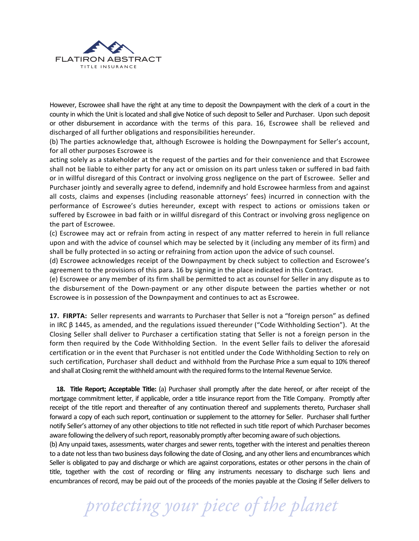

However, Escrowee shall have the right at any time to deposit the Downpayment with the clerk of a court in the county in which the Unit is located and shall give Notice of such deposit to Seller and Purchaser. Upon such deposit or other disbursement in accordance with the terms of this para. 16, Escrowee shall be relieved and discharged of all further obligations and responsibilities hereunder.

(b) The parties acknowledge that, although Escrowee is holding the Downpayment for Seller's account, for all other purposes Escrowee is

acting solely as a stakeholder at the request of the parties and for their convenience and that Escrowee shall not be liable to either party for any act or omission on its part unless taken or suffered in bad faith or in willful disregard of this Contract or involving gross negligence on the part of Escrowee. Seller and Purchaser jointly and severally agree to defend, indemnify and hold Escrowee harmless from and against all costs, claims and expenses (including reasonable attorneys' fees) incurred in connection with the performance of Escrowee's duties hereunder, except with respect to actions or omissions taken or suffered by Escrowee in bad faith or in willful disregard of this Contract or involving gross negligence on the part of Escrowee.

(c) Escrowee may act or refrain from acting in respect of any matter referred to herein in full reliance upon and with the advice of counsel which may be selected by it (including any member of its firm) and shall be fully protected in so acting or refraining from action upon the advice of such counsel.

(d) Escrowee acknowledges receipt of the Downpayment by check subject to collection and Escrowee's agreement to the provisions of this para. 16 by signing in the place indicated in this Contract.

(e) Escrowee or any member of its firm shall be permitted to act as counsel for Seller in any dispute as to the disbursement of the Down-payment or any other dispute between the parties whether or not Escrowee is in possession of the Downpayment and continues to act as Escrowee.

**17. FIRPTA:** Seller represents and warrants to Purchaser that Seller is not a "foreign person" as defined in IRC  $\beta$  1445, as amended, and the regulations issued thereunder ("Code Withholding Section"). At the Closing Seller shall deliver to Purchaser a certification stating that Seller is not a foreign person in the form then required by the Code Withholding Section. In the event Seller fails to deliver the aforesaid certification or in the event that Purchaser is not entitled under the Code Withholding Section to rely on such certification, Purchaser shall deduct and withhold from the Purchase Price a sum equal to 10% thereof and shall at Closing remit the withheld amount with the required forms to the Internal Revenue Service.

**18.** Title Report; Acceptable Title: (a) Purchaser shall promptly after the date hereof, or after receipt of the mortgage commitment letter, if applicable, order a title insurance report from the Title Company. Promptly after receipt of the title report and thereafter of any continuation thereof and supplements thereto, Purchaser shall forward a copy of each such report, continuation or supplement to the attorney for Seller. Purchaser shall further notify Seller's attorney of any other objections to title not reflected in such title report of which Purchaser becomes aware following the delivery of such report, reasonably promptly after becoming aware of such objections.

(b) Any unpaid taxes, assessments, water charges and sewer rents, together with the interest and penalties thereon to a date not less than two business days following the date of Closing, and any other liens and encumbrances which Seller is obligated to pay and discharge or which are against corporations, estates or other persons in the chain of title, together with the cost of recording or filing any instruments necessary to discharge such liens and encumbrances of record, may be paid out of the proceeds of the monies payable at the Closing if Seller delivers to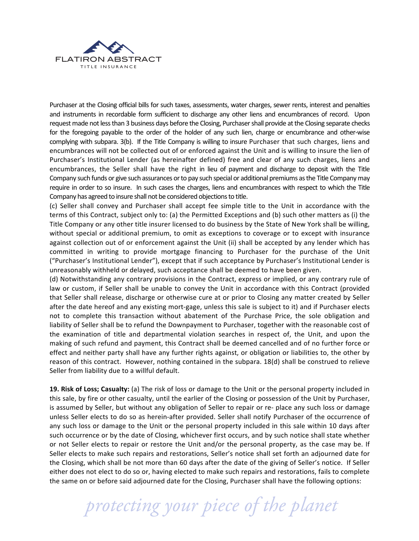

Purchaser at the Closing official bills for such taxes, assessments, water charges, sewer rents, interest and penalties and instruments in recordable form sufficient to discharge any other liens and encumbrances of record. Upon request made not less than 3 business days before the Closing, Purchaser shall provide at the Closing separate checks for the foregoing payable to the order of the holder of any such lien, charge or encumbrance and other-wise complying with subpara. 3(b). If the Title Company is willing to insure Purchaser that such charges, liens and encumbrances will not be collected out of or enforced against the Unit and is willing to insure the lien of Purchaser's Institutional Lender (as hereinafter defined) free and clear of any such charges, liens and encumbrances, the Seller shall have the right in lieu of payment and discharge to deposit with the Title Company such funds or give such assurances or to pay such special or additional premiums as the Title Company may require in order to so insure. In such cases the charges, liens and encumbrances with respect to which the Title Company has agreed to insure shall not be considered objections to title.

(c) Seller shall convey and Purchaser shall accept fee simple title to the Unit in accordance with the terms of this Contract, subject only to: (a) the Permitted Exceptions and (b) such other matters as (i) the Title Company or any other title insurer licensed to do business by the State of New York shall be willing, without special or additional premium, to omit as exceptions to coverage or to except with insurance against collection out of or enforcement against the Unit (ii) shall be accepted by any lender which has committed in writing to provide mortgage financing to Purchaser for the purchase of the Unit ("Purchaser's Institutional Lender"), except that if such acceptance by Purchaser's Institutional Lender is unreasonably withheld or delayed, such acceptance shall be deemed to have been given.

(d) Notwithstanding any contrary provisions in the Contract, express or implied, or any contrary rule of law or custom, if Seller shall be unable to convey the Unit in accordance with this Contract (provided that Seller shall release, discharge or otherwise cure at or prior to Closing any matter created by Seller after the date hereof and any existing mort-gage, unless this sale is subject to it) and if Purchaser elects not to complete this transaction without abatement of the Purchase Price, the sole obligation and liability of Seller shall be to refund the Downpayment to Purchaser, together with the reasonable cost of the examination of title and departmental violation searches in respect of, the Unit, and upon the making of such refund and payment, this Contract shall be deemed cancelled and of no further force or effect and neither party shall have any further rights against, or obligation or liabilities to, the other by reason of this contract. However, nothing contained in the subpara.  $18(d)$  shall be construed to relieve Seller from liability due to a willful default.

**19. Risk of Loss; Casualty:** (a) The risk of loss or damage to the Unit or the personal property included in this sale, by fire or other casualty, until the earlier of the Closing or possession of the Unit by Purchaser, is assumed by Seller, but without any obligation of Seller to repair or re- place any such loss or damage unless Seller elects to do so as herein-after provided. Seller shall notify Purchaser of the occurrence of any such loss or damage to the Unit or the personal property included in this sale within 10 days after such occurrence or by the date of Closing, whichever first occurs, and by such notice shall state whether or not Seller elects to repair or restore the Unit and/or the personal property, as the case may be. If Seller elects to make such repairs and restorations, Seller's notice shall set forth an adjourned date for the Closing, which shall be not more than 60 days after the date of the giving of Seller's notice. If Seller either does not elect to do so or, having elected to make such repairs and restorations, fails to complete the same on or before said adjourned date for the Closing, Purchaser shall have the following options: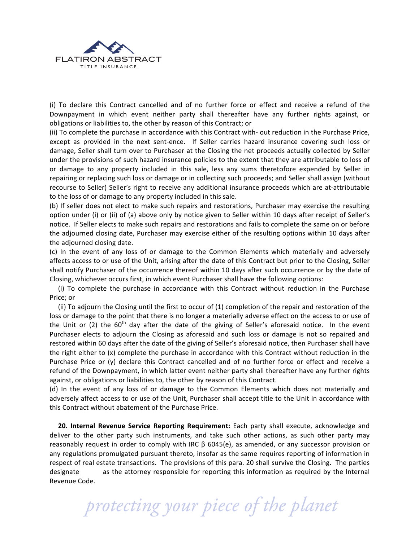

(i) To declare this Contract cancelled and of no further force or effect and receive a refund of the Downpayment in which event neither party shall thereafter have any further rights against, or obligations or liabilities to, the other by reason of this Contract; or

(ii) To complete the purchase in accordance with this Contract with- out reduction in the Purchase Price, except as provided in the next sent-ence. If Seller carries hazard insurance covering such loss or damage, Seller shall turn over to Purchaser at the Closing the net proceeds actually collected by Seller under the provisions of such hazard insurance policies to the extent that they are attributable to loss of or damage to any property included in this sale, less any sums theretofore expended by Seller in repairing or replacing such loss or damage or in collecting such proceeds; and Seller shall assign (without recourse to Seller) Seller's right to receive any additional insurance proceeds which are at-attributable to the loss of or damage to any property included in this sale.

(b) If seller does not elect to make such repairs and restorations, Purchaser may exercise the resulting option under (i) or (ii) of (a) above only by notice given to Seller within 10 days after receipt of Seller's notice. If Seller elects to make such repairs and restorations and fails to complete the same on or before the adjourned closing date, Purchaser may exercise either of the resulting options within 10 days after the adjourned closing date.

(c) In the event of any loss of or damage to the Common Elements which materially and adversely affects access to or use of the Unit, arising after the date of this Contract but prior to the Closing, Seller shall notify Purchaser of the occurrence thereof within 10 days after such occurrence or by the date of Closing, whichever occurs first, in which event Purchaser shall have the following options:

(i) To complete the purchase in accordance with this Contract without reduction in the Purchase Price; or

(ii) To adjourn the Closing until the first to occur of  $(1)$  completion of the repair and restoration of the loss or damage to the point that there is no longer a materially adverse effect on the access to or use of the Unit or (2) the  $60<sup>th</sup>$  day after the date of the giving of Seller's aforesaid notice. In the event Purchaser elects to adjourn the Closing as aforesaid and such loss or damage is not so repaired and restored within 60 days after the date of the giving of Seller's aforesaid notice, then Purchaser shall have the right either to (x) complete the purchase in accordance with this Contract without reduction in the Purchase Price or  $(y)$  declare this Contract cancelled and of no further force or effect and receive a refund of the Downpayment, in which latter event neither party shall thereafter have any further rights against, or obligations or liabilities to, the other by reason of this Contract.

(d) In the event of any loss of or damage to the Common Elements which does not materially and adversely affect access to or use of the Unit, Purchaser shall accept title to the Unit in accordance with this Contract without abatement of the Purchase Price.

**20. Internal Revenue Service Reporting Requirement:** Each party shall execute, acknowledge and deliver to the other party such instruments, and take such other actions, as such other party may reasonably request in order to comply with IRC  $\beta$  6045(e), as amended, or any successor provision or any regulations promulgated pursuant thereto, insofar as the same requires reporting of information in respect of real estate transactions. The provisions of this para. 20 shall survive the Closing. The parties designate as the attorney responsible for reporting this information as required by the Internal Revenue Code.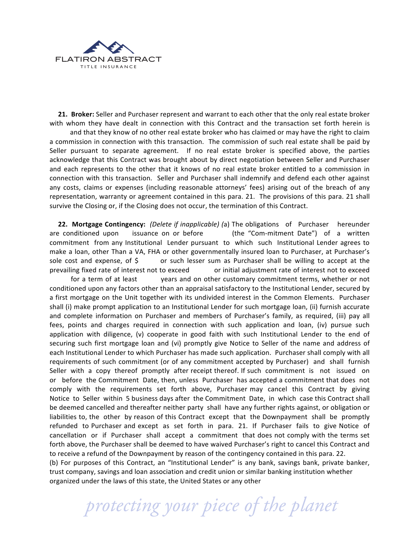

**21. Broker:** Seller and Purchaser represent and warrant to each other that the only real estate broker with whom they have dealt in connection with this Contract and the transaction set forth herein is

and that they know of no other real estate broker who has claimed or may have the right to claim a commission in connection with this transaction. The commission of such real estate shall be paid by Seller pursuant to separate agreement. If no real estate broker is specified above, the parties acknowledge that this Contract was brought about by direct negotiation between Seller and Purchaser and each represents to the other that it knows of no real estate broker entitled to a commission in connection with this transaction. Seller and Purchaser shall indemnify and defend each other against any costs, claims or expenses (including reasonable attorneys' fees) arising out of the breach of any representation, warranty or agreement contained in this para. 21. The provisions of this para. 21 shall survive the Closing or, if the Closing does not occur, the termination of this Contract.

**22. Mortgage Contingency:** *(Delete if inapplicable)* (a) The obligations of Purchaser hereunder are conditioned upon issuance on or before (the "Com-mitment Date") of a written commitment from any Institutional Lender pursuant to which such Institutional Lender agrees to make a loan, other Than a VA, FHA or other governmentally insured loan to Purchaser, at Purchaser's sole cost and expense, of  $\zeta$  or such lesser sum as Purchaser shall be willing to accept at the prevailing fixed rate of interest not to exceed or initial adjustment rate of interest not to exceed for a term of at least years and on other customary commitment terms, whether or not conditioned upon any factors other than an appraisal satisfactory to the Institutional Lender, secured by a first mortgage on the Unit together with its undivided interest in the Common Elements. Purchaser shall (i) make prompt application to an Institutional Lender for such mortgage loan, (ii) furnish accurate and complete information on Purchaser and members of Purchaser's family, as required, (iii) pay all fees, points and charges required in connection with such application and loan, (iv) pursue such application with diligence,  $(v)$  cooperate in good faith with such Institutional Lender to the end of securing such first mortgage loan and (vi) promptly give Notice to Seller of the name and address of each Institutional Lender to which Purchaser has made such application. Purchaser shall comply with all requirements of such commitment (or of any commitment accepted by Purchaser) and shall furnish Seller with a copy thereof promptly after receipt thereof. If such commitment is not issued on or before the Commitment Date, then, unless Purchaser has accepted a commitment that does not comply with the requirements set forth above, Purchaser may cancel this Contract by giving Notice to Seller within 5 business days after the Commitment Date, in which case this Contract shall be deemed cancelled and thereafter neither party shall have any further rights against, or obligation or liabilities to, the other by reason of this Contract except that the Downpayment shall be promptly refunded to Purchaser and except as set forth in para. 21. If Purchaser fails to give Notice of cancellation or if Purchaser shall accept a commitment that does not comply with the terms set forth above, the Purchaser shall be deemed to have waived Purchaser's right to cancel this Contract and to receive a refund of the Downpayment by reason of the contingency contained in this para. 22. (b) For purposes of this Contract, an "Institutional Lender" is any bank, savings bank, private banker,

trust company, savings and loan association and credit union or similar banking institution whether organized under the laws of this state, the United States or any other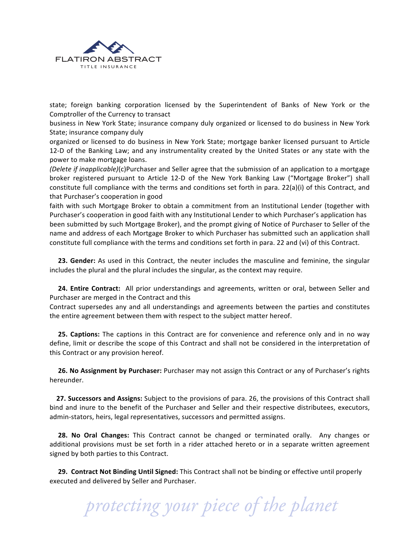

state; foreign banking corporation licensed by the Superintendent of Banks of New York or the Comptroller of the Currency to transact

business in New York State; insurance company duly organized or licensed to do business in New York State; insurance company duly

organized or licensed to do business in New York State; mortgage banker licensed pursuant to Article 12-D of the Banking Law; and any instrumentality created by the United States or any state with the power to make mortgage loans.

*(Delete if inapplicable)*(c)Purchaser and Seller agree that the submission of an application to a mortgage broker registered pursuant to Article 12-D of the New York Banking Law ("Mortgage Broker") shall constitute full compliance with the terms and conditions set forth in para.  $22(a)(i)$  of this Contract, and that Purchaser's cooperation in good

faith with such Mortgage Broker to obtain a commitment from an Institutional Lender (together with Purchaser's cooperation in good faith with any Institutional Lender to which Purchaser's application has been submitted by such Mortgage Broker), and the prompt giving of Notice of Purchaser to Seller of the name and address of each Mortgage Broker to which Purchaser has submitted such an application shall constitute full compliance with the terms and conditions set forth in para. 22 and (vi) of this Contract.

**23. Gender:** As used in this Contract, the neuter includes the masculine and feminine, the singular includes the plural and the plural includes the singular, as the context may require.

**24. Entire Contract:** All prior understandings and agreements, written or oral, between Seller and Purchaser are merged in the Contract and this

Contract supersedes any and all understandings and agreements between the parties and constitutes the entire agreement between them with respect to the subject matter hereof.

**25. Captions:** The captions in this Contract are for convenience and reference only and in no way define, limit or describe the scope of this Contract and shall not be considered in the interpretation of this Contract or any provision hereof.

**26. No Assignment by Purchaser:** Purchaser may not assign this Contract or any of Purchaser's rights hereunder.

**27. Successors and Assigns:** Subject to the provisions of para. 26, the provisions of this Contract shall bind and inure to the benefit of the Purchaser and Seller and their respective distributees, executors, admin-stators, heirs, legal representatives, successors and permitted assigns.

**28. No Oral Changes:** This Contract cannot be changed or terminated orally. Any changes or additional provisions must be set forth in a rider attached hereto or in a separate written agreement signed by both parties to this Contract.

**29. Contract Not Binding Until Signed:** This Contract shall not be binding or effective until properly executed and delivered by Seller and Purchaser.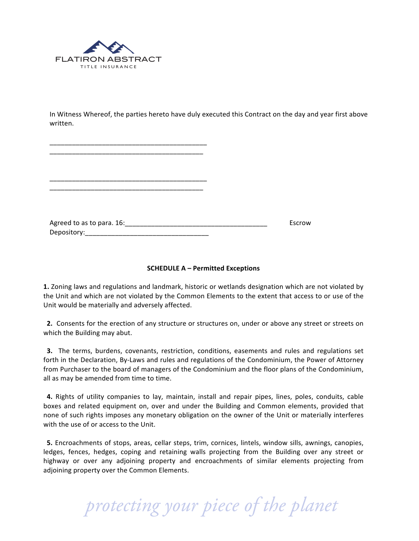

In Witness Whereof, the parties hereto have duly executed this Contract on the day and year first above written.

| Escrow |
|--------|
|        |

## **SCHEDULE A – Permitted Exceptions**

**1.** Zoning laws and regulations and landmark, historic or wetlands designation which are not violated by the Unit and which are not violated by the Common Elements to the extent that access to or use of the Unit would be materially and adversely affected.

**2.** Consents for the erection of any structure or structures on, under or above any street or streets on which the Building may abut.

**3.** The terms, burdens, covenants, restriction, conditions, easements and rules and regulations set forth in the Declaration, By-Laws and rules and regulations of the Condominium, the Power of Attorney from Purchaser to the board of managers of the Condominium and the floor plans of the Condominium, all as may be amended from time to time.

**4.** Rights of utility companies to lay, maintain, install and repair pipes, lines, poles, conduits, cable boxes and related equipment on, over and under the Building and Common elements, provided that none of such rights imposes any monetary obligation on the owner of the Unit or materially interferes with the use of or access to the Unit.

**5.** Encroachments of stops, areas, cellar steps, trim, cornices, lintels, window sills, awnings, canopies, ledges, fences, hedges, coping and retaining walls projecting from the Building over any street or highway or over any adjoining property and encroachments of similar elements projecting from adjoining property over the Common Elements.